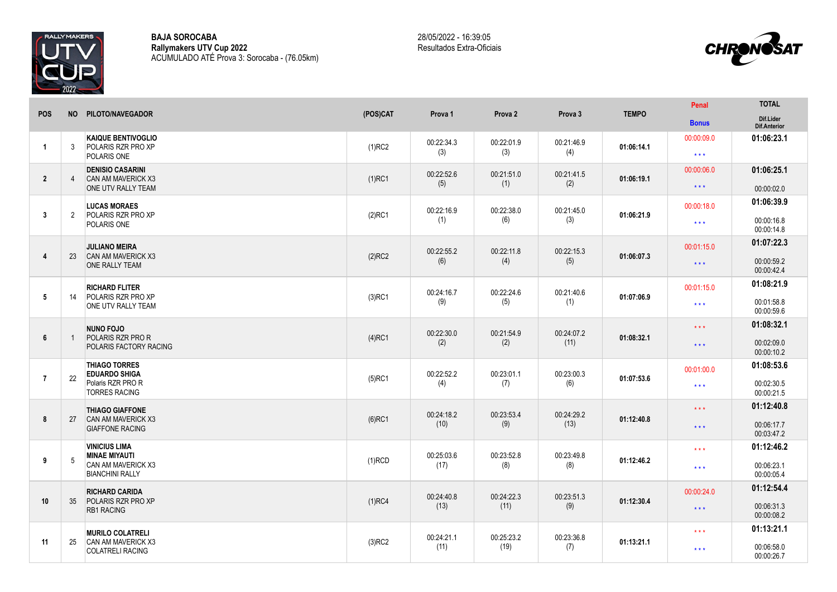

**BAJA SOROCABA Rallymakers UTV Cup 2022** ACUMULADO ATÉ Prova 3: Sorocaba - (76.05km)



|                | <b>NO</b>      | PILOTO/NAVEGADOR                                                                             | (POS)CAT  | Prova 1            | Prova 2            | Prova 3            | <b>TEMPO</b> | Penal                             | <b>TOTAL</b>                           |
|----------------|----------------|----------------------------------------------------------------------------------------------|-----------|--------------------|--------------------|--------------------|--------------|-----------------------------------|----------------------------------------|
| <b>POS</b>     |                |                                                                                              |           |                    |                    |                    |              | <b>Bonus</b>                      | Dif.Lider<br>Dif.Anterior              |
| $\overline{1}$ | 3              | <b>KAIQUE BENTIVOGLIO</b><br><b>POLARIS RZR PRO XP</b><br>POLARIS ONE                        | $(1)$ RC2 | 00:22:34.3<br>(3)  | 00:22:01.9<br>(3)  | 00:21:46.9<br>(4)  | 01:06:14.1   | 00:00:09.0<br>$***$               | 01:06:23.1                             |
| $\overline{2}$ | $\overline{4}$ | <b>DENISIO CASARINI</b><br><b>CAN AM MAVERICK X3</b><br>ONE UTV RALLY TEAM                   | $(1)$ RC1 | 00:22:52.6<br>(5)  | 00:21:51.0<br>(1)  | 00:21:41.5<br>(2)  | 01:06:19.1   | 00:00:06.0<br>$\star\star\star$   | 01:06:25.1<br>00:00:02.0               |
| $\mathbf{3}$   | 2              | <b>LUCAS MORAES</b><br>POLARIS RZR PRO XP<br>POLARIS ONE                                     | $(2)$ RC1 | 00:22:16.9<br>(1)  | 00:22:38.0<br>(6)  | 00:21:45.0<br>(3)  | 01:06:21.9   | 00:00:18.0<br>$\star \star \star$ | 01:06:39.9<br>00:00:16.8<br>00:00:14.8 |
| 4              | 23             | <b>JULIANO MEIRA</b><br><b>CAN AM MAVERICK X3</b><br>ONE RALLY TEAM                          | $(2)$ RC2 | 00:22:55.2<br>(6)  | 00:22:11.8<br>(4)  | 00:22:15.3<br>(5)  | 01:06:07.3   | 00:01:15.0<br>$\star\star\star$   | 01:07:22.3<br>00:00:59.2<br>00:00:42.4 |
| 5              | 14             | <b>RICHARD FLITER</b><br>POLARIS RZR PRO XP<br>ONE UTV RALLY TEAM                            | $(3)$ RC1 | 00:24:16.7<br>(9)  | 00:22:24.6<br>(5)  | 00:21:40.6<br>(1)  | 01:07:06.9   | 00:01:15.0<br>$\star\star\star$   | 01:08:21.9<br>00:01:58.8<br>00:00:59.6 |
| 6              | -1             | <b>NUNO FOJO</b><br><b>POLARIS RZR PRO R</b><br>POLARIS FACTORY RACING                       | $(4)$ RC1 | 00:22:30.0<br>(2)  | 00:21:54.9<br>(2)  | 00:24:07.2<br>(11) | 01:08:32.1   | $***$<br>$\star\star\star$        | 01:08:32.1<br>00:02:09.0<br>00:00:10.2 |
| $\overline{7}$ | 22             | <b>THIAGO TORRES</b><br><b>EDUARDO SHIGA</b><br>Polaris RZR PRO R<br><b>TORRES RACING</b>    | $(5)$ RC1 | 00:22:52.2<br>(4)  | 00:23:01.1<br>(7)  | 00:23:00.3<br>(6)  | 01:07:53.6   | 00:01:00.0<br>$\star\star\star$   | 01:08:53.6<br>00:02:30.5<br>00:00:21.5 |
| 8              | 27             | <b>THIAGO GIAFFONE</b><br><b>CAN AM MAVERICK X3</b><br><b>GIAFFONE RACING</b>                | $(6)$ RC1 | 00:24:18.2<br>(10) | 00:23:53.4<br>(9)  | 00:24:29.2<br>(13) | 01:12:40.8   | $***$<br>$\star\star\star$        | 01:12:40.8<br>00:06:17.7<br>00:03:47.2 |
| 9              | 5              | <b>VINICIUS LIMA</b><br><b>MINAE MIYAUTI</b><br>CAN AM MAVERICK X3<br><b>BIANCHINI RALLY</b> | $(1)$ RCD | 00:25:03.6<br>(17) | 00:23:52.8<br>(8)  | 00:23:49.8<br>(8)  | 01:12:46.2   | $\star \star \star$<br>$***$      | 01:12:46.2<br>00:06:23.1<br>00:00:05.4 |
| 10             | 35             | <b>RICHARD CARIDA</b><br>POLARIS RZR PRO XP<br><b>RB1 RACING</b>                             | $(1)$ RC4 | 00:24:40.8<br>(13) | 00:24:22.3<br>(11) | 00:23:51.3<br>(9)  | 01:12:30.4   | 00:00:24.0<br>$\star\star\star$   | 01:12:54.4<br>00:06:31.3<br>00:00:08.2 |
|                |                | <b>MURILO COLATRELI</b>                                                                      |           |                    |                    |                    |              | $***$                             | 01:13:21.1                             |
| 11             | 25             | CAN AM MAVERICK X3<br><b>COLATRELI RACING</b>                                                | $(3)$ RC2 | 00:24:21.1<br>(11) | 00:25:23.2<br>(19) | 00:23:36.8<br>(7)  | 01:13:21.1   | $***$                             | 00:06:58.0<br>00:00:26.7               |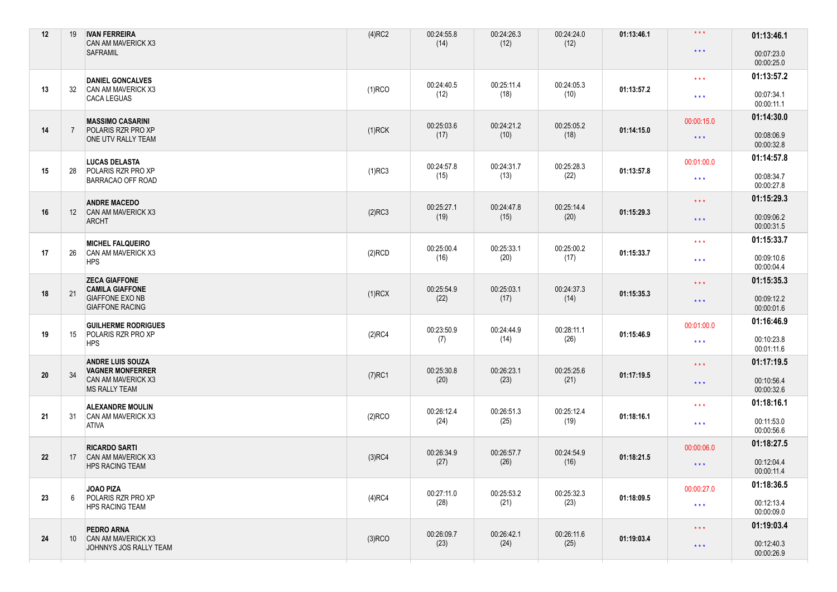| 12 | 19 | <b>IVAN FERREIRA</b><br>CAN AM MAVERICK X3                                                         | $(4)$ RC2 | 00:24:55.8<br>(14) | 00:24:26.3<br>(12) | 00:24:24.0<br>(12) | 01:13:46.1 | $\star \star \star$     | 01:13:46.1               |
|----|----|----------------------------------------------------------------------------------------------------|-----------|--------------------|--------------------|--------------------|------------|-------------------------|--------------------------|
|    |    | <b>SAFRAMIL</b>                                                                                    |           |                    |                    |                    |            | $\star\star\star$       | 00:07:23.0<br>00:00:25.0 |
|    | 32 | <b>DANIEL GONCALVES</b><br>CAN AM MAVERICK X3<br><b>CACA LEGUAS</b>                                | $(1)$ RCO | 00:24:40.5<br>(12) | 00:25:11.4<br>(18) | 00:24:05.3         | 01:13:57.2 | $***$                   | 01:13:57.2               |
| 13 |    |                                                                                                    |           |                    |                    | (10)               |            | $\star\star\star$       | 00:07:34.1<br>00:00:11.1 |
|    | 7  | <b>MASSIMO CASARINI</b><br>POLARIS RZR PRO XP<br>ONE UTV RALLY TEAM                                | $(1)$ RCK | 00:25:03.6<br>(17) | 00:24:21.2<br>(10) | 00:25:05.2<br>(18) | 01:14:15.0 | 00:00:15.0              | 01:14:30.0               |
| 14 |    |                                                                                                    |           |                    |                    |                    |            | $\star\star\star$       | 00:08:06.9<br>00:00:32.8 |
|    | 28 | <b>LUCAS DELASTA</b><br>POLARIS RZR PRO XP<br>BARRACAO OFF ROAD                                    | $(1)$ RC3 | 00:24:57.8<br>(15) | 00:24:31.7<br>(13) | 00:25:28.3<br>(22) | 01:13:57.8 | 00:01:00.0              | 01:14:57.8               |
| 15 |    |                                                                                                    |           |                    |                    |                    |            | $\star\star\star$       | 00:08:34.7<br>00:00:27.8 |
|    |    | <b>ANDRE MACEDO</b><br>CAN AM MAVERICK X3<br><b>ARCHT</b>                                          | $(2)$ RC3 | 00:25:27.1<br>(19) | 00:24:47.8         | 00:25:14.4<br>(20) | 01:15:29.3 | $\star$ $\star$ $\star$ | 01:15:29.3               |
| 16 | 12 |                                                                                                    |           |                    | (15)               |                    |            | $\star\star\star$       | 00:09:06.2<br>00:00:31.5 |
|    | 26 | <b>MICHEL FALQUEIRO</b><br><b>CAN AM MAVERICK X3</b><br><b>HPS</b>                                 |           | 00:25:00.4<br>(16) | 00:25:33.1<br>(20) | 00:25:00.2<br>(17) | 01:15:33.7 | $\star\star\star$       | 01:15:33.7               |
| 17 |    |                                                                                                    | $(2)$ RCD |                    |                    |                    |            | $\star$ $\star$ $\star$ | 00:09:10.6<br>00:00:04.4 |
|    | 21 | <b>ZECA GIAFFONE</b><br><b>CAMILA GIAFFONE</b><br><b>GIAFFONE EXO NB</b><br><b>GIAFFONE RACING</b> | $(1)$ RCX | 00:25:54.9<br>(22) | 00:25:03.1<br>(17) | 00:24:37.3<br>(14) | 01:15:35.3 | $***$                   | 01:15:35.3               |
| 18 |    |                                                                                                    |           |                    |                    |                    |            | $\star\star\star$       | 00:09:12.2<br>00:00:01.6 |
|    |    | <b>GUILHERME RODRIGUES</b>                                                                         |           | 00:23:50.9         | 00:24:44.9         | 00:28:11.1         | 01:15:46.9 | 00:01:00.0              | 01:16:46.9               |
| 19 | 15 | POLARIS RZR PRO XP<br><b>HPS</b>                                                                   | $(2)$ RC4 | (7)                | (14)               | (26)               |            | $\star\star\star$       | 00:10:23.8<br>00:01:11.6 |
|    | 34 | <b>ANDRE LUIS SOUZA</b><br><b>VAGNER MONFERRER</b><br>CAN AM MAVERICK X3<br><b>MS RALLY TEAM</b>   | $(7)$ RC1 | 00:25:30.8<br>(20) | 00:26:23.1<br>(23) | 00:25:25.6<br>(21) | 01:17:19.5 | $***$                   | 01:17:19.5               |
| 20 |    |                                                                                                    |           |                    |                    |                    |            | $\star\star\star$       | 00:10:56.4<br>00:00:32.6 |
|    | 31 | <b>ALEXANDRE MOULIN</b><br>CAN AM MAVERICK X3<br>ativa                                             | $(2)$ RCO | 00:26:12.4<br>(24) | 00:26:51.3<br>(25) | 00:25:12.4<br>(19) | 01:18:16.1 | $\star \star \star$     | 01:18:16.1               |
| 21 |    |                                                                                                    |           |                    |                    |                    |            | $\star$ $\star$ $\star$ | 00:11:53.0<br>00:00:56.6 |
|    | 17 | <b>RICARDO SARTI</b><br><b>CAN AM MAVERICK X3</b><br><b>HPS RACING TEAM</b>                        | $(3)$ RC4 | 00:26:34.9<br>(27) | 00:26:57.7<br>(26) | 00:24:54.9<br>(16) | 01:18:21.5 | 00:00:06.0              | 01:18:27.5               |
| 22 |    |                                                                                                    |           |                    |                    |                    |            | $\star\star\star$       | 00:12:04.4<br>00:00:11.4 |
|    | 6  | JOAO PIZA<br>POLARIS RZR PRO XP<br><b>HPS RACING TEAM</b>                                          | $(4)$ RC4 | 00:27:11.0<br>(28) | 00:25:53.2<br>(21) | 00:25:32.3<br>(23) | 01:18:09.5 | 00:00:27.0              | 01:18:36.5               |
| 23 |    |                                                                                                    |           |                    |                    |                    |            | $\star\star\star$       | 00:12:13.4<br>00:00:09.0 |
|    |    | PEDRO ARNA                                                                                         |           | 00:26:09.7         | 00:26:42.1         | 00:26:11.6         |            | $\star\star\star$       | 01:19:03.4               |
| 24 | 10 | <b>CAN AM MAVERICK X3</b><br>JOHNNYS JOS RALLY TEAM                                                | $(3)$ RCO | (23)               | (24)               | (25)               | 01:19:03.4 | $\star\star\star$       | 00:12:40.3<br>00:00:26.9 |